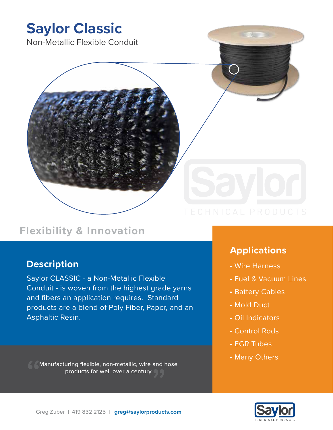

# **Flexibility & Innovation**

## **Description**

Saylor CLASSIC - a Non-Metallic Flexible Conduit - is woven from the highest grade yarns and fibers an application requires. Standard products are a blend of Poly Fiber, Paper, and an Asphaltic Resin.

Manufacturing flexible, non-metallic, wire and hose products for well over a century.

## **Applications**

- Wire Harness
- Fuel & Vacuum Lines
- Battery Cables
- Mold Duct
- Oil Indicators
- Control Rods
- EGR Tubes
- Many Others